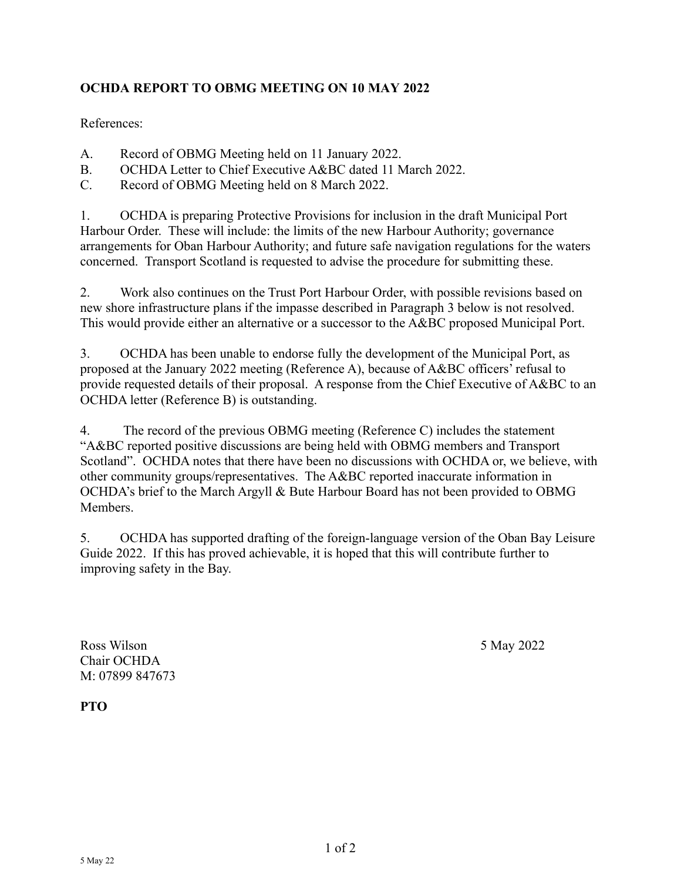## **OCHDA REPORT TO OBMG MEETING ON 10 MAY 2022**

References:

- A. Record of OBMG Meeting held on 11 January 2022.
- B. OCHDA Letter to Chief Executive A&BC dated 11 March 2022.
- C. Record of OBMG Meeting held on 8 March 2022.

1. OCHDA is preparing Protective Provisions for inclusion in the draft Municipal Port Harbour Order. These will include: the limits of the new Harbour Authority; governance arrangements for Oban Harbour Authority; and future safe navigation regulations for the waters concerned. Transport Scotland is requested to advise the procedure for submitting these.

2. Work also continues on the Trust Port Harbour Order, with possible revisions based on new shore infrastructure plans if the impasse described in Paragraph 3 below is not resolved. This would provide either an alternative or a successor to the A&BC proposed Municipal Port.

3. OCHDA has been unable to endorse fully the development of the Municipal Port, as proposed at the January 2022 meeting (Reference A), because of A&BC officers' refusal to provide requested details of their proposal. A response from the Chief Executive of A&BC to an OCHDA letter (Reference B) is outstanding.

4. The record of the previous OBMG meeting (Reference C) includes the statement "A&BC reported positive discussions are being held with OBMG members and Transport Scotland". OCHDA notes that there have been no discussions with OCHDA or, we believe, with other community groups/representatives. The A&BC reported inaccurate information in OCHDA's brief to the March Argyll & Bute Harbour Board has not been provided to OBMG **Members** 

5. OCHDA has supported drafting of the foreign-language version of the Oban Bay Leisure Guide 2022. If this has proved achievable, it is hoped that this will contribute further to improving safety in the Bay.

Ross Wilson 5 May 2022 Chair OCHDA M: 07899 847673

**PTO**